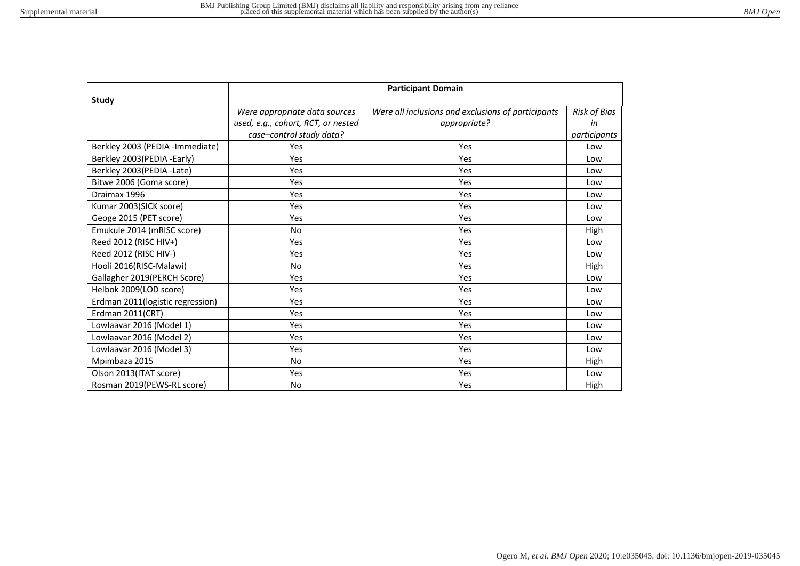|                                  | <b>Participant Domain</b>          |                                                    |                     |  |
|----------------------------------|------------------------------------|----------------------------------------------------|---------------------|--|
| Study                            |                                    |                                                    |                     |  |
|                                  | Were appropriate data sources      | Were all inclusions and exclusions of participants | <b>Risk of Bias</b> |  |
|                                  | used, e.g., cohort, RCT, or nested | appropriate?                                       | in                  |  |
|                                  | case-control study data?           |                                                    | participants        |  |
| Berkley 2003 (PEDIA -Immediate)  | <b>Yes</b>                         | Yes                                                | Low                 |  |
| Berkley 2003(PEDIA -Early)       | <b>Yes</b>                         | <b>Yes</b>                                         | Low                 |  |
| Berkley 2003(PEDIA -Late)        | Yes                                | <b>Yes</b>                                         | Low                 |  |
| Bitwe 2006 (Goma score)          | Yes                                | <b>Yes</b>                                         | Low                 |  |
| Draimax 1996                     | Yes                                | <b>Yes</b>                                         | Low                 |  |
| Kumar 2003(SICK score)           | Yes                                | <b>Yes</b>                                         | Low                 |  |
| Geoge 2015 (PET score)           | Yes                                | Yes                                                | Low                 |  |
| Emukule 2014 (mRISC score)       | <b>No</b>                          | Yes                                                | High                |  |
| Reed 2012 (RISC HIV+)            | <b>Yes</b>                         | <b>Yes</b>                                         | Low                 |  |
| Reed 2012 (RISC HIV-)            | <b>Yes</b>                         | <b>Yes</b>                                         | Low                 |  |
| Hooli 2016(RISC-Malawi)          | <b>No</b>                          | Yes                                                | High                |  |
| Gallagher 2019(PERCH Score)      | <b>Yes</b>                         | <b>Yes</b>                                         | Low                 |  |
| Helbok 2009(LOD score)           | Yes                                | Yes                                                | Low                 |  |
| Erdman 2011(logistic regression) | Yes                                | Yes                                                | Low                 |  |
| Erdman 2011(CRT)                 | Yes                                | <b>Yes</b>                                         | Low                 |  |
| Lowlaavar 2016 (Model 1)         | Yes                                | <b>Yes</b>                                         | Low                 |  |
| Lowlaavar 2016 (Model 2)         | Yes                                | <b>Yes</b>                                         | Low                 |  |
| Lowlaavar 2016 (Model 3)         | <b>Yes</b>                         | <b>Yes</b>                                         | Low                 |  |
| Mpimbaza 2015                    | <b>No</b>                          | <b>Yes</b>                                         | High                |  |
| Olson 2013(ITAT score)           | <b>Yes</b>                         | <b>Yes</b>                                         | Low                 |  |
| Rosman 2019(PEWS-RL score)       | <b>No</b>                          | <b>Yes</b>                                         | High                |  |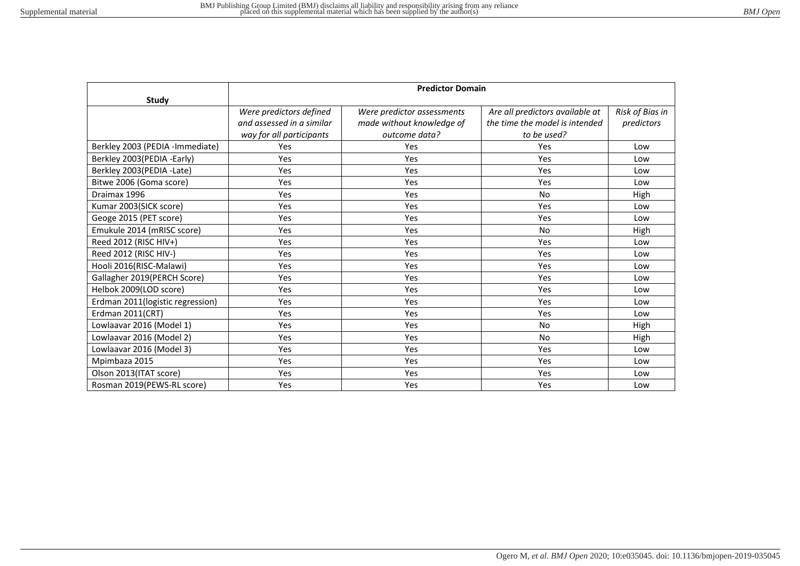|                                  | <b>Predictor Domain</b>   |                            |                                 |                 |  |
|----------------------------------|---------------------------|----------------------------|---------------------------------|-----------------|--|
| Study                            |                           |                            |                                 |                 |  |
|                                  | Were predictors defined   | Were predictor assessments | Are all predictors available at | Risk of Bias in |  |
|                                  | and assessed in a similar | made without knowledge of  | the time the model is intended  | predictors      |  |
|                                  | way for all participants  | outcome data?              | to be used?                     |                 |  |
| Berkley 2003 (PEDIA -Immediate)  | Yes                       | Yes                        | Yes                             | Low             |  |
| Berkley 2003(PEDIA -Early)       | Yes                       | Yes                        | Yes                             | Low             |  |
| Berkley 2003(PEDIA -Late)        | Yes                       | Yes                        | Yes                             | Low             |  |
| Bitwe 2006 (Goma score)          | <b>Yes</b>                | Yes                        | <b>Yes</b>                      | Low             |  |
| Draimax 1996                     | Yes                       | Yes                        | <b>No</b>                       | High            |  |
| Kumar 2003(SICK score)           | Yes                       | Yes                        | Yes                             | Low             |  |
| Geoge 2015 (PET score)           | Yes                       | Yes                        | Yes                             | Low             |  |
| Emukule 2014 (mRISC score)       | Yes                       | Yes                        | <b>No</b>                       | High            |  |
| Reed 2012 (RISC HIV+)            | Yes                       | Yes                        | Yes                             | Low             |  |
| Reed 2012 (RISC HIV-)            | Yes                       | Yes                        | Yes                             | Low             |  |
| Hooli 2016(RISC-Malawi)          | <b>Yes</b>                | Yes                        | Yes                             | Low             |  |
| Gallagher 2019(PERCH Score)      | Yes                       | Yes                        | Yes                             | Low             |  |
| Helbok 2009(LOD score)           | <b>Yes</b>                | Yes                        | <b>Yes</b>                      | Low             |  |
| Erdman 2011(logistic regression) | Yes                       | Yes                        | Yes                             | Low             |  |
| Erdman 2011(CRT)                 | Yes                       | Yes                        | Yes                             | Low             |  |
| Lowlaavar 2016 (Model 1)         | Yes                       | Yes                        | <b>No</b>                       | High            |  |
| Lowlaavar 2016 (Model 2)         | Yes                       | Yes                        | No                              | High            |  |
| Lowlaavar 2016 (Model 3)         | Yes                       | Yes                        | Yes                             | Low             |  |
| Mpimbaza 2015                    | Yes                       | Yes                        | Yes                             | Low             |  |
| Olson 2013(ITAT score)           | <b>Yes</b>                | Yes                        | <b>Yes</b>                      | Low             |  |
| Rosman 2019(PEWS-RL score)       | Yes                       | Yes                        | Yes                             | Low             |  |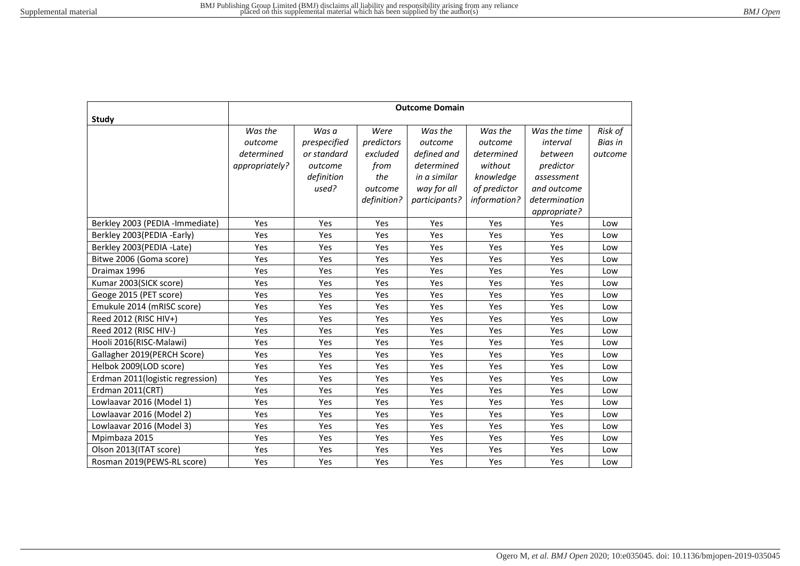|                                  | <b>Outcome Domain</b>                              |                                                 |                                        |                                                 |                                             |                                                            |                               |
|----------------------------------|----------------------------------------------------|-------------------------------------------------|----------------------------------------|-------------------------------------------------|---------------------------------------------|------------------------------------------------------------|-------------------------------|
| Study                            |                                                    |                                                 |                                        |                                                 |                                             |                                                            |                               |
|                                  | Was the<br>outcome<br>determined<br>appropriately? | Was a<br>prespecified<br>or standard<br>outcome | Were<br>predictors<br>excluded<br>from | Was the<br>outcome<br>defined and<br>determined | Was the<br>outcome<br>determined<br>without | Was the time<br>interval<br>between<br>predictor           | Risk of<br>Bias in<br>outcome |
|                                  |                                                    | definition<br>used?                             | the<br>outcome<br>definition?          | in a similar<br>way for all<br>participants?    | knowledge<br>of predictor<br>information?   | assessment<br>and outcome<br>determination<br>appropriate? |                               |
| Berkley 2003 (PEDIA -Immediate)  | Yes                                                | Yes                                             | Yes                                    | Yes                                             | Yes                                         | Yes                                                        | Low                           |
| Berkley 2003(PEDIA -Early)       | Yes                                                | Yes                                             | Yes                                    | Yes                                             | Yes                                         | Yes                                                        | Low                           |
| Berkley 2003(PEDIA -Late)        | Yes                                                | Yes                                             | Yes                                    | Yes                                             | Yes                                         | Yes                                                        | Low                           |
| Bitwe 2006 (Goma score)          | Yes                                                | Yes                                             | Yes                                    | Yes                                             | Yes                                         | Yes                                                        | Low                           |
| Draimax 1996                     | Yes                                                | Yes                                             | Yes                                    | Yes                                             | Yes                                         | Yes                                                        | Low                           |
| Kumar 2003(SICK score)           | Yes                                                | Yes                                             | Yes                                    | Yes                                             | Yes                                         | Yes                                                        | Low                           |
| Geoge 2015 (PET score)           | Yes                                                | Yes                                             | Yes                                    | Yes                                             | Yes                                         | Yes                                                        | Low                           |
| Emukule 2014 (mRISC score)       | Yes                                                | Yes                                             | Yes                                    | Yes                                             | Yes                                         | Yes                                                        | Low                           |
| Reed 2012 (RISC HIV+)            | Yes                                                | Yes                                             | Yes                                    | Yes                                             | Yes                                         | Yes                                                        | Low                           |
| Reed 2012 (RISC HIV-)            | Yes                                                | Yes                                             | Yes                                    | Yes                                             | Yes                                         | Yes                                                        | Low                           |
| Hooli 2016(RISC-Malawi)          | Yes                                                | Yes                                             | Yes                                    | Yes                                             | Yes                                         | Yes                                                        | Low                           |
| Gallagher 2019(PERCH Score)      | Yes                                                | Yes                                             | Yes                                    | Yes                                             | Yes                                         | Yes                                                        | Low                           |
| Helbok 2009(LOD score)           | Yes                                                | Yes                                             | Yes                                    | Yes                                             | Yes                                         | Yes                                                        | Low                           |
| Erdman 2011(logistic regression) | Yes                                                | Yes                                             | Yes                                    | Yes                                             | Yes                                         | Yes                                                        | Low                           |
| Erdman 2011(CRT)                 | Yes                                                | Yes                                             | Yes                                    | Yes                                             | Yes                                         | Yes                                                        | Low                           |
| Lowlaavar 2016 (Model 1)         | Yes                                                | Yes                                             | Yes                                    | Yes                                             | Yes                                         | <b>Yes</b>                                                 | Low                           |
| Lowlaavar 2016 (Model 2)         | Yes                                                | Yes                                             | Yes                                    | Yes                                             | Yes                                         | Yes                                                        | Low                           |
| Lowlaavar 2016 (Model 3)         | Yes                                                | Yes                                             | Yes                                    | Yes                                             | Yes                                         | Yes                                                        | Low                           |
| Mpimbaza 2015                    | Yes                                                | Yes                                             | Yes                                    | Yes                                             | Yes                                         | Yes                                                        | Low                           |
| Olson 2013(ITAT score)           | Yes                                                | Yes                                             | Yes                                    | Yes                                             | Yes                                         | Yes                                                        | Low                           |
| Rosman 2019(PEWS-RL score)       | Yes                                                | Yes                                             | Yes                                    | Yes                                             | Yes                                         | Yes                                                        | Low                           |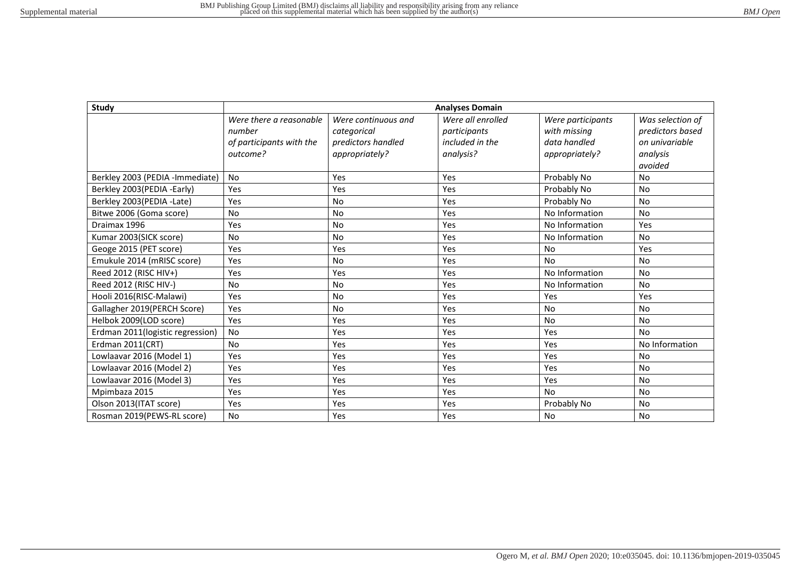| Study                            | <b>Analyses Domain</b>   |                     |                   |                   |                  |  |
|----------------------------------|--------------------------|---------------------|-------------------|-------------------|------------------|--|
|                                  | Were there a reasonable  | Were continuous and | Were all enrolled | Were participants | Was selection of |  |
|                                  | number                   | categorical         | participants      | with missing      | predictors based |  |
|                                  | of participants with the | predictors handled  | included in the   | data handled      | on univariable   |  |
|                                  | outcome?                 | appropriately?      | analysis?         | appropriately?    | analysis         |  |
|                                  |                          |                     |                   |                   | avoided          |  |
| Berkley 2003 (PEDIA -Immediate)  | <b>No</b>                | Yes                 | Yes               | Probably No       | <b>No</b>        |  |
| Berkley 2003(PEDIA -Early)       | Yes                      | Yes                 | Yes               | Probably No       | <b>No</b>        |  |
| Berkley 2003(PEDIA -Late)        | Yes                      | <b>No</b>           | Yes               | Probably No       | <b>No</b>        |  |
| Bitwe 2006 (Goma score)          | <b>No</b>                | <b>No</b>           | Yes               | No Information    | <b>No</b>        |  |
| Draimax 1996                     | Yes                      | <b>No</b>           | Yes               | No Information    | Yes              |  |
| Kumar 2003(SICK score)           | <b>No</b>                | <b>No</b>           | Yes               | No Information    | <b>No</b>        |  |
| Geoge 2015 (PET score)           | Yes                      | Yes                 | Yes               | <b>No</b>         | Yes              |  |
| Emukule 2014 (mRISC score)       | Yes                      | <b>No</b>           | Yes               | <b>No</b>         | <b>No</b>        |  |
| Reed 2012 (RISC HIV+)            | Yes                      | Yes                 | Yes               | No Information    | <b>No</b>        |  |
| Reed 2012 (RISC HIV-)            | <b>No</b>                | <b>No</b>           | Yes               | No Information    | <b>No</b>        |  |
| Hooli 2016(RISC-Malawi)          | Yes                      | <b>No</b>           | Yes               | Yes               | Yes              |  |
| Gallagher 2019(PERCH Score)      | Yes                      | <b>No</b>           | Yes               | No                | <b>No</b>        |  |
| Helbok 2009(LOD score)           | Yes                      | Yes                 | Yes               | <b>No</b>         | <b>No</b>        |  |
| Erdman 2011(logistic regression) | <b>No</b>                | Yes                 | Yes               | Yes               | No               |  |
| Erdman 2011(CRT)                 | <b>No</b>                | Yes                 | Yes               | Yes               | No Information   |  |
| Lowlaavar 2016 (Model 1)         | Yes                      | Yes                 | Yes               | Yes               | <b>No</b>        |  |
| Lowlaavar 2016 (Model 2)         | Yes                      | Yes                 | Yes               | Yes               | <b>No</b>        |  |
| Lowlaavar 2016 (Model 3)         | Yes                      | Yes                 | Yes               | Yes               | <b>No</b>        |  |
| Mpimbaza 2015                    | Yes                      | Yes                 | Yes               | <b>No</b>         | <b>No</b>        |  |
| Olson 2013(ITAT score)           | Yes                      | Yes                 | Yes               | Probably No       | <b>No</b>        |  |
| Rosman 2019(PEWS-RL score)       | <b>No</b>                | Yes                 | Yes               | <b>No</b>         | <b>No</b>        |  |